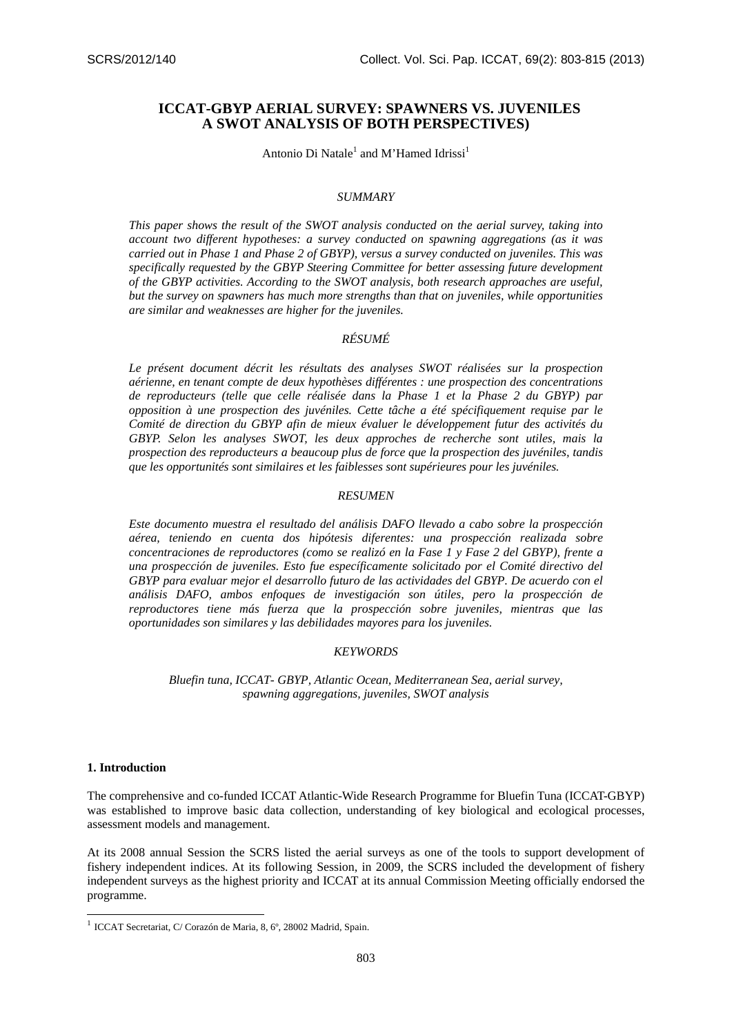# **ICCAT-GBYP AERIAL SURVEY: SPAWNERS VS. JUVENILES A SWOT ANALYSIS OF BOTH PERSPECTIVES)**

Antonio Di Natale<sup>1</sup> and M'Hamed Idrissi<sup>1</sup>

### *SUMMARY*

*This paper shows the result of the SWOT analysis conducted on the aerial survey, taking into account two different hypotheses: a survey conducted on spawning aggregations (as it was carried out in Phase 1 and Phase 2 of GBYP), versus a survey conducted on juveniles. This was specifically requested by the GBYP Steering Committee for better assessing future development of the GBYP activities. According to the SWOT analysis, both research approaches are useful, but the survey on spawners has much more strengths than that on juveniles, while opportunities are similar and weaknesses are higher for the juveniles.* 

## *RÉSUMÉ*

*Le présent document décrit les résultats des analyses SWOT réalisées sur la prospection aérienne, en tenant compte de deux hypothèses différentes : une prospection des concentrations de reproducteurs (telle que celle réalisée dans la Phase 1 et la Phase 2 du GBYP) par opposition à une prospection des juvéniles. Cette tâche a été spécifiquement requise par le Comité de direction du GBYP afin de mieux évaluer le développement futur des activités du GBYP. Selon les analyses SWOT, les deux approches de recherche sont utiles, mais la prospection des reproducteurs a beaucoup plus de force que la prospection des juvéniles, tandis que les opportunités sont similaires et les faiblesses sont supérieures pour les juvéniles.* 

# *RESUMEN*

*Este documento muestra el resultado del análisis DAFO llevado a cabo sobre la prospección aérea, teniendo en cuenta dos hipótesis diferentes: una prospección realizada sobre concentraciones de reproductores (como se realizó en la Fase 1 y Fase 2 del GBYP), frente a una prospección de juveniles. Esto fue específicamente solicitado por el Comité directivo del GBYP para evaluar mejor el desarrollo futuro de las actividades del GBYP. De acuerdo con el análisis DAFO, ambos enfoques de investigación son útiles, pero la prospección de reproductores tiene más fuerza que la prospección sobre juveniles, mientras que las oportunidades son similares y las debilidades mayores para los juveniles.* 

### *KEYWORDS*

*Bluefin tuna, ICCAT- GBYP, Atlantic Ocean, Mediterranean Sea, aerial survey, spawning aggregations, juveniles, SWOT analysis* 

#### **1. Introduction**

-

The comprehensive and co-funded ICCAT Atlantic-Wide Research Programme for Bluefin Tuna (ICCAT-GBYP) was established to improve basic data collection, understanding of key biological and ecological processes, assessment models and management.

At its 2008 annual Session the SCRS listed the aerial surveys as one of the tools to support development of fishery independent indices. At its following Session, in 2009, the SCRS included the development of fishery independent surveys as the highest priority and ICCAT at its annual Commission Meeting officially endorsed the programme.

<sup>1</sup> ICCAT Secretariat, C/ Corazón de Maria, 8, 6º, 28002 Madrid, Spain.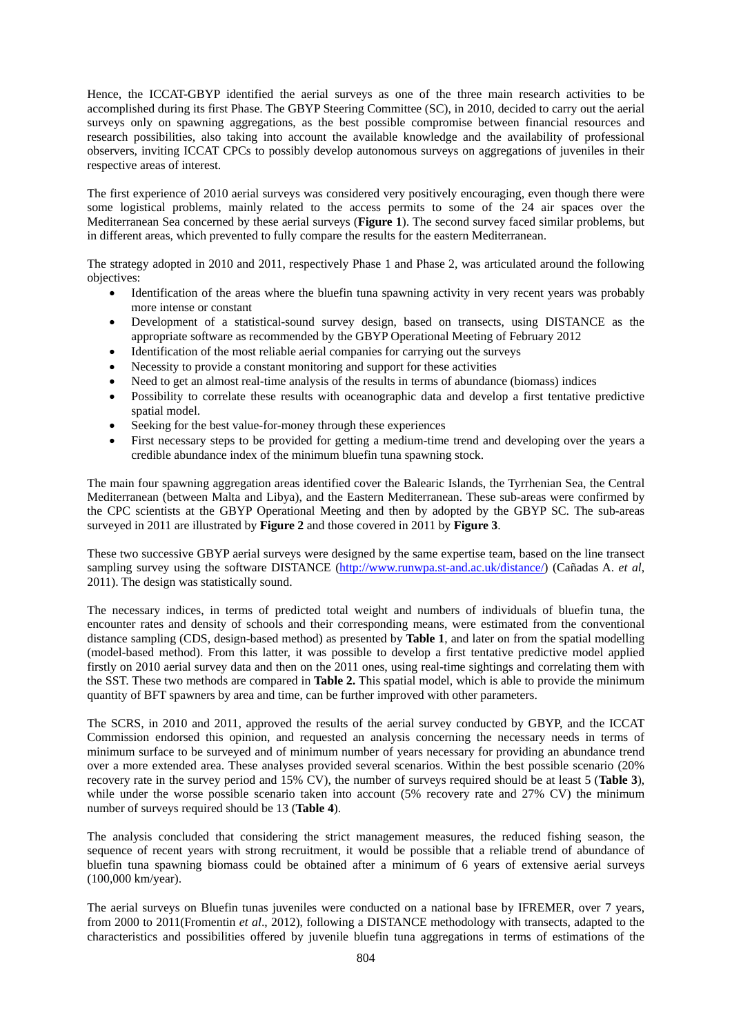Hence, the ICCAT-GBYP identified the aerial surveys as one of the three main research activities to be accomplished during its first Phase. The GBYP Steering Committee (SC), in 2010, decided to carry out the aerial surveys only on spawning aggregations, as the best possible compromise between financial resources and research possibilities, also taking into account the available knowledge and the availability of professional observers, inviting ICCAT CPCs to possibly develop autonomous surveys on aggregations of juveniles in their respective areas of interest.

The first experience of 2010 aerial surveys was considered very positively encouraging, even though there were some logistical problems, mainly related to the access permits to some of the 24 air spaces over the Mediterranean Sea concerned by these aerial surveys (**Figure 1**). The second survey faced similar problems, but in different areas, which prevented to fully compare the results for the eastern Mediterranean.

The strategy adopted in 2010 and 2011, respectively Phase 1 and Phase 2, was articulated around the following objectives:

- Identification of the areas where the bluefin tuna spawning activity in very recent years was probably more intense or constant
- Development of a statistical-sound survey design, based on transects, using DISTANCE as the appropriate software as recommended by the GBYP Operational Meeting of February 2012
- Identification of the most reliable aerial companies for carrying out the surveys
- Necessity to provide a constant monitoring and support for these activities
- Need to get an almost real-time analysis of the results in terms of abundance (biomass) indices
- Possibility to correlate these results with oceanographic data and develop a first tentative predictive spatial model.
- Seeking for the best value-for-money through these experiences
- First necessary steps to be provided for getting a medium-time trend and developing over the years a credible abundance index of the minimum bluefin tuna spawning stock.

The main four spawning aggregation areas identified cover the Balearic Islands, the Tyrrhenian Sea, the Central Mediterranean (between Malta and Libya), and the Eastern Mediterranean. These sub-areas were confirmed by the CPC scientists at the GBYP Operational Meeting and then by adopted by the GBYP SC. The sub-areas surveyed in 2011 are illustrated by **Figure 2** and those covered in 2011 by **Figure 3**.

These two successive GBYP aerial surveys were designed by the same expertise team, based on the line transect sampling survey using the software DISTANCE (http://www.runwpa.st-and.ac.uk/distance/) (Cañadas A. *et al*, 2011). The design was statistically sound.

The necessary indices, in terms of predicted total weight and numbers of individuals of bluefin tuna, the encounter rates and density of schools and their corresponding means, were estimated from the conventional distance sampling (CDS, design-based method) as presented by **Table 1**, and later on from the spatial modelling (model-based method). From this latter, it was possible to develop a first tentative predictive model applied firstly on 2010 aerial survey data and then on the 2011 ones, using real-time sightings and correlating them with the SST. These two methods are compared in **Table 2.** This spatial model, which is able to provide the minimum quantity of BFT spawners by area and time, can be further improved with other parameters.

The SCRS, in 2010 and 2011, approved the results of the aerial survey conducted by GBYP, and the ICCAT Commission endorsed this opinion, and requested an analysis concerning the necessary needs in terms of minimum surface to be surveyed and of minimum number of years necessary for providing an abundance trend over a more extended area. These analyses provided several scenarios. Within the best possible scenario (20% recovery rate in the survey period and 15% CV), the number of surveys required should be at least 5 (**Table 3**), while under the worse possible scenario taken into account (5% recovery rate and 27% CV) the minimum number of surveys required should be 13 (**Table 4**).

The analysis concluded that considering the strict management measures, the reduced fishing season, the sequence of recent years with strong recruitment, it would be possible that a reliable trend of abundance of bluefin tuna spawning biomass could be obtained after a minimum of 6 years of extensive aerial surveys (100,000 km/year).

The aerial surveys on Bluefin tunas juveniles were conducted on a national base by IFREMER, over 7 years, from 2000 to 2011(Fromentin *et al*., 2012), following a DISTANCE methodology with transects, adapted to the characteristics and possibilities offered by juvenile bluefin tuna aggregations in terms of estimations of the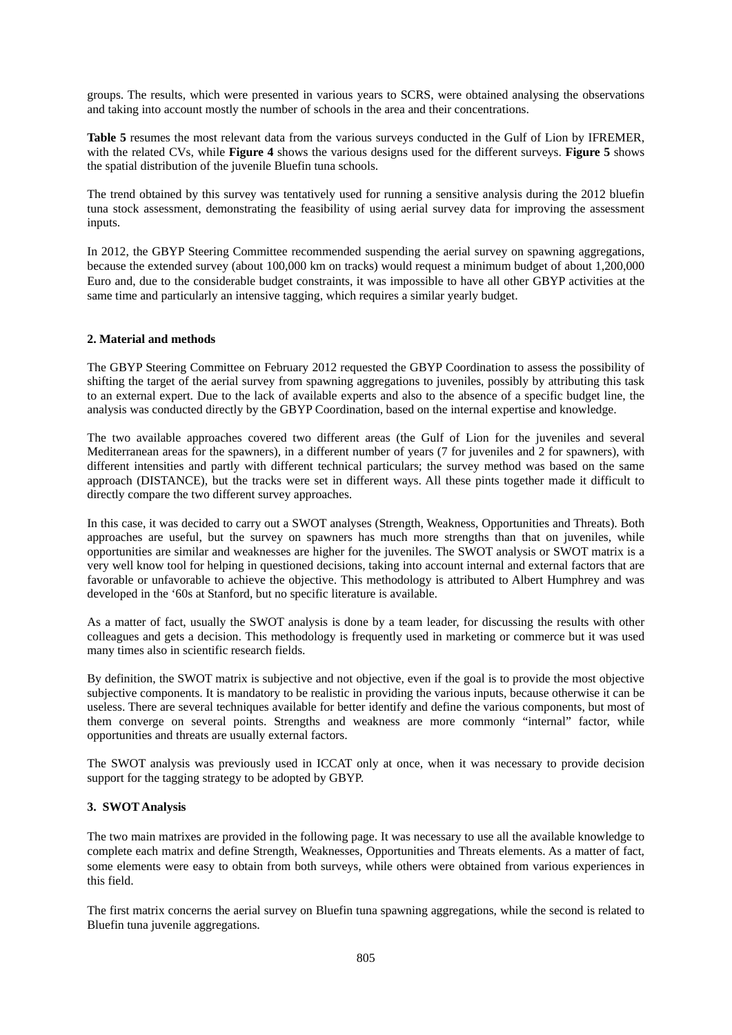groups. The results, which were presented in various years to SCRS, were obtained analysing the observations and taking into account mostly the number of schools in the area and their concentrations.

**Table 5** resumes the most relevant data from the various surveys conducted in the Gulf of Lion by IFREMER, with the related CVs, while **Figure 4** shows the various designs used for the different surveys. **Figure 5** shows the spatial distribution of the juvenile Bluefin tuna schools.

The trend obtained by this survey was tentatively used for running a sensitive analysis during the 2012 bluefin tuna stock assessment, demonstrating the feasibility of using aerial survey data for improving the assessment inputs.

In 2012, the GBYP Steering Committee recommended suspending the aerial survey on spawning aggregations, because the extended survey (about 100,000 km on tracks) would request a minimum budget of about 1,200,000 Euro and, due to the considerable budget constraints, it was impossible to have all other GBYP activities at the same time and particularly an intensive tagging, which requires a similar yearly budget.

## **2. Material and methods**

The GBYP Steering Committee on February 2012 requested the GBYP Coordination to assess the possibility of shifting the target of the aerial survey from spawning aggregations to juveniles, possibly by attributing this task to an external expert. Due to the lack of available experts and also to the absence of a specific budget line, the analysis was conducted directly by the GBYP Coordination, based on the internal expertise and knowledge.

The two available approaches covered two different areas (the Gulf of Lion for the juveniles and several Mediterranean areas for the spawners), in a different number of years (7 for juveniles and 2 for spawners), with different intensities and partly with different technical particulars; the survey method was based on the same approach (DISTANCE), but the tracks were set in different ways. All these pints together made it difficult to directly compare the two different survey approaches.

In this case, it was decided to carry out a SWOT analyses (Strength, Weakness, Opportunities and Threats). Both approaches are useful, but the survey on spawners has much more strengths than that on juveniles, while opportunities are similar and weaknesses are higher for the juveniles. The SWOT analysis or SWOT matrix is a very well know tool for helping in questioned decisions, taking into account internal and external factors that are favorable or unfavorable to achieve the objective. This methodology is attributed to Albert Humphrey and was developed in the '60s at Stanford, but no specific literature is available.

As a matter of fact, usually the SWOT analysis is done by a team leader, for discussing the results with other colleagues and gets a decision. This methodology is frequently used in marketing or commerce but it was used many times also in scientific research fields.

By definition, the SWOT matrix is subjective and not objective, even if the goal is to provide the most objective subjective components. It is mandatory to be realistic in providing the various inputs, because otherwise it can be useless. There are several techniques available for better identify and define the various components, but most of them converge on several points. Strengths and weakness are more commonly "internal" factor, while opportunities and threats are usually external factors.

The SWOT analysis was previously used in ICCAT only at once, when it was necessary to provide decision support for the tagging strategy to be adopted by GBYP.

## **3. SWOT Analysis**

The two main matrixes are provided in the following page. It was necessary to use all the available knowledge to complete each matrix and define Strength, Weaknesses, Opportunities and Threats elements. As a matter of fact, some elements were easy to obtain from both surveys, while others were obtained from various experiences in this field.

The first matrix concerns the aerial survey on Bluefin tuna spawning aggregations, while the second is related to Bluefin tuna juvenile aggregations.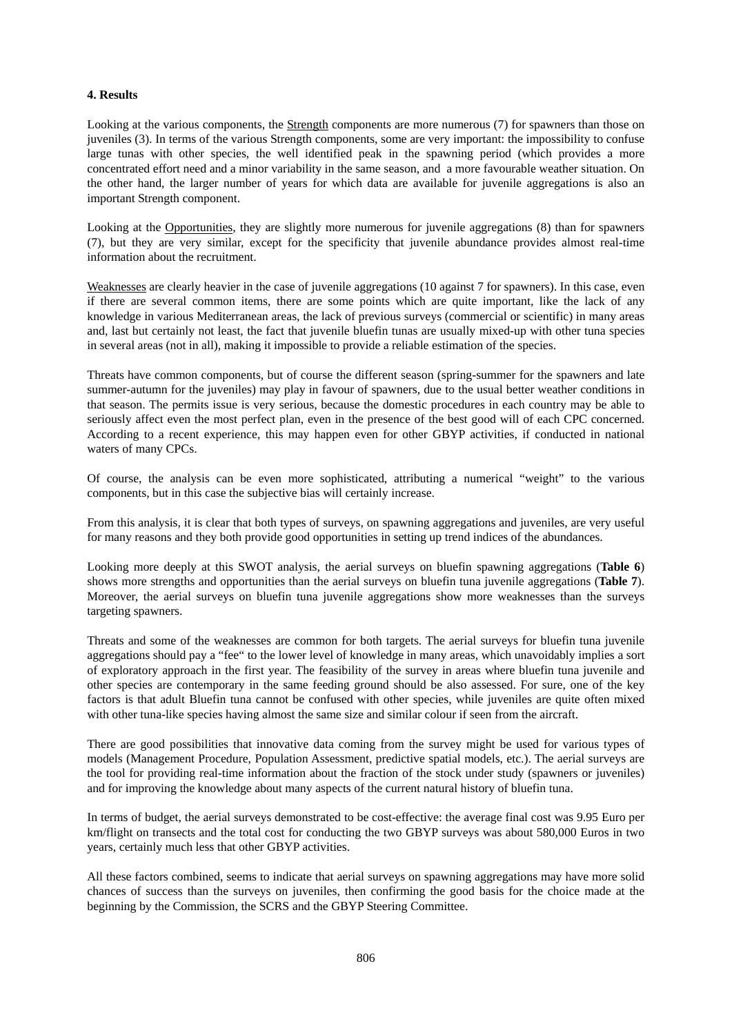## **4. Results**

Looking at the various components, the Strength components are more numerous (7) for spawners than those on juveniles (3). In terms of the various Strength components, some are very important: the impossibility to confuse large tunas with other species, the well identified peak in the spawning period (which provides a more concentrated effort need and a minor variability in the same season, and a more favourable weather situation. On the other hand, the larger number of years for which data are available for juvenile aggregations is also an important Strength component.

Looking at the Opportunities, they are slightly more numerous for juvenile aggregations (8) than for spawners (7), but they are very similar, except for the specificity that juvenile abundance provides almost real-time information about the recruitment.

Weaknesses are clearly heavier in the case of juvenile aggregations (10 against 7 for spawners). In this case, even if there are several common items, there are some points which are quite important, like the lack of any knowledge in various Mediterranean areas, the lack of previous surveys (commercial or scientific) in many areas and, last but certainly not least, the fact that juvenile bluefin tunas are usually mixed-up with other tuna species in several areas (not in all), making it impossible to provide a reliable estimation of the species.

Threats have common components, but of course the different season (spring-summer for the spawners and late summer-autumn for the juveniles) may play in favour of spawners, due to the usual better weather conditions in that season. The permits issue is very serious, because the domestic procedures in each country may be able to seriously affect even the most perfect plan, even in the presence of the best good will of each CPC concerned. According to a recent experience, this may happen even for other GBYP activities, if conducted in national waters of many CPCs.

Of course, the analysis can be even more sophisticated, attributing a numerical "weight" to the various components, but in this case the subjective bias will certainly increase.

From this analysis, it is clear that both types of surveys, on spawning aggregations and juveniles, are very useful for many reasons and they both provide good opportunities in setting up trend indices of the abundances.

Looking more deeply at this SWOT analysis, the aerial surveys on bluefin spawning aggregations (**Table 6**) shows more strengths and opportunities than the aerial surveys on bluefin tuna juvenile aggregations (**Table 7**). Moreover, the aerial surveys on bluefin tuna juvenile aggregations show more weaknesses than the surveys targeting spawners.

Threats and some of the weaknesses are common for both targets. The aerial surveys for bluefin tuna juvenile aggregations should pay a "fee" to the lower level of knowledge in many areas, which unavoidably implies a sort of exploratory approach in the first year. The feasibility of the survey in areas where bluefin tuna juvenile and other species are contemporary in the same feeding ground should be also assessed. For sure, one of the key factors is that adult Bluefin tuna cannot be confused with other species, while juveniles are quite often mixed with other tuna-like species having almost the same size and similar colour if seen from the aircraft.

There are good possibilities that innovative data coming from the survey might be used for various types of models (Management Procedure, Population Assessment, predictive spatial models, etc.). The aerial surveys are the tool for providing real-time information about the fraction of the stock under study (spawners or juveniles) and for improving the knowledge about many aspects of the current natural history of bluefin tuna.

In terms of budget, the aerial surveys demonstrated to be cost-effective: the average final cost was 9.95 Euro per km/flight on transects and the total cost for conducting the two GBYP surveys was about 580,000 Euros in two years, certainly much less that other GBYP activities.

All these factors combined, seems to indicate that aerial surveys on spawning aggregations may have more solid chances of success than the surveys on juveniles, then confirming the good basis for the choice made at the beginning by the Commission, the SCRS and the GBYP Steering Committee.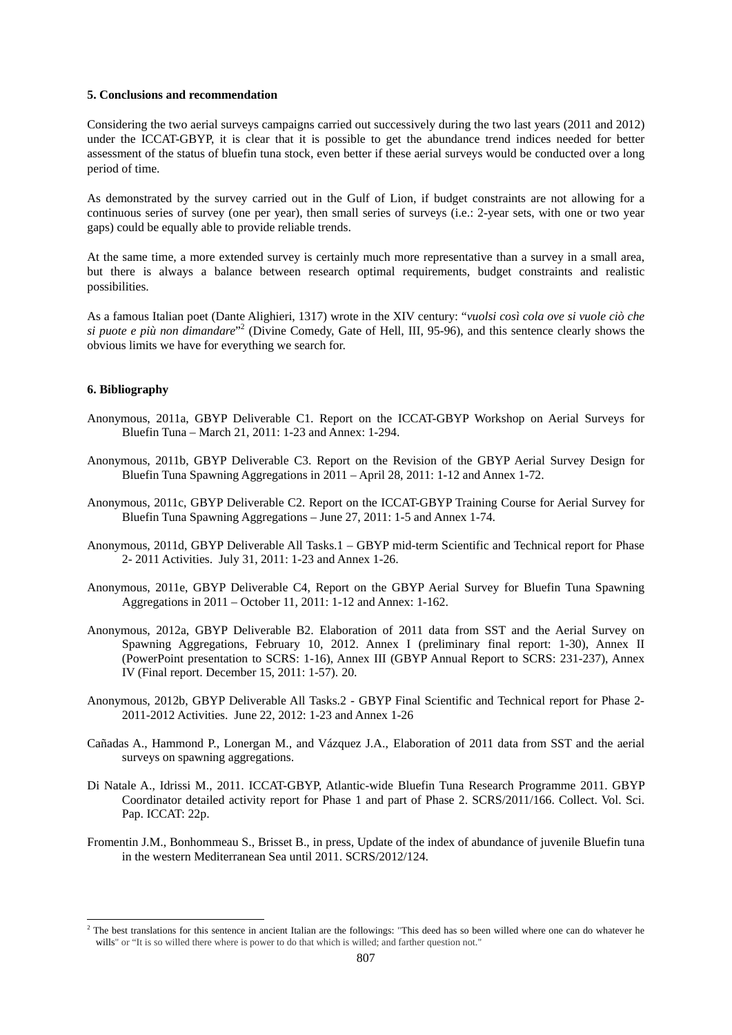### **5. Conclusions and recommendation**

Considering the two aerial surveys campaigns carried out successively during the two last years (2011 and 2012) under the ICCAT-GBYP, it is clear that it is possible to get the abundance trend indices needed for better assessment of the status of bluefin tuna stock, even better if these aerial surveys would be conducted over a long period of time.

As demonstrated by the survey carried out in the Gulf of Lion, if budget constraints are not allowing for a continuous series of survey (one per year), then small series of surveys (i.e.: 2-year sets, with one or two year gaps) could be equally able to provide reliable trends.

At the same time, a more extended survey is certainly much more representative than a survey in a small area, but there is always a balance between research optimal requirements, budget constraints and realistic possibilities.

As a famous Italian poet (Dante Alighieri, 1317) wrote in the XIV century: "*vuolsi così cola ove si vuole ciò che*  si puote e più non dimandare"<sup>2</sup> (Divine Comedy, Gate of Hell, III, 95-96), and this sentence clearly shows the obvious limits we have for everything we search for.

#### **6. Bibliography**

-

- Anonymous, 2011a, GBYP Deliverable C1. Report on the ICCAT-GBYP Workshop on Aerial Surveys for Bluefin Tuna – March 21, 2011: 1-23 and Annex: 1-294.
- Anonymous, 2011b, GBYP Deliverable C3. Report on the Revision of the GBYP Aerial Survey Design for Bluefin Tuna Spawning Aggregations in 2011 – April 28, 2011: 1-12 and Annex 1-72.
- Anonymous, 2011c, GBYP Deliverable C2. Report on the ICCAT-GBYP Training Course for Aerial Survey for Bluefin Tuna Spawning Aggregations – June 27, 2011: 1-5 and Annex 1-74.
- Anonymous, 2011d, GBYP Deliverable All Tasks.1 GBYP mid-term Scientific and Technical report for Phase 2- 2011 Activities. July 31, 2011: 1-23 and Annex 1-26.
- Anonymous, 2011e, GBYP Deliverable C4, Report on the GBYP Aerial Survey for Bluefin Tuna Spawning Aggregations in 2011 – October 11, 2011: 1-12 and Annex: 1-162.
- Anonymous, 2012a, GBYP Deliverable B2. Elaboration of 2011 data from SST and the Aerial Survey on Spawning Aggregations, February 10, 2012. Annex I (preliminary final report: 1-30), Annex II (PowerPoint presentation to SCRS: 1-16), Annex III (GBYP Annual Report to SCRS: 231-237), Annex IV (Final report. December 15, 2011: 1-57). 20.
- Anonymous, 2012b, GBYP Deliverable All Tasks.2 GBYP Final Scientific and Technical report for Phase 2- 2011-2012 Activities. June 22, 2012: 1-23 and Annex 1-26
- Cañadas A., Hammond P., Lonergan M., and Vázquez J.A., Elaboration of 2011 data from SST and the aerial surveys on spawning aggregations.
- Di Natale A., Idrissi M., 2011. ICCAT-GBYP, Atlantic-wide Bluefin Tuna Research Programme 2011. GBYP Coordinator detailed activity report for Phase 1 and part of Phase 2. SCRS/2011/166. Collect. Vol. Sci. Pap. ICCAT: 22p.
- Fromentin J.M., Bonhommeau S., Brisset B., in press, Update of the index of abundance of juvenile Bluefin tuna in the western Mediterranean Sea until 2011. SCRS/2012/124.

 $2$  The best translations for this sentence in ancient Italian are the followings: "This deed has so been willed where one can do whatever he wills" or "It is so willed there where is power to do that which is willed; and farther question not."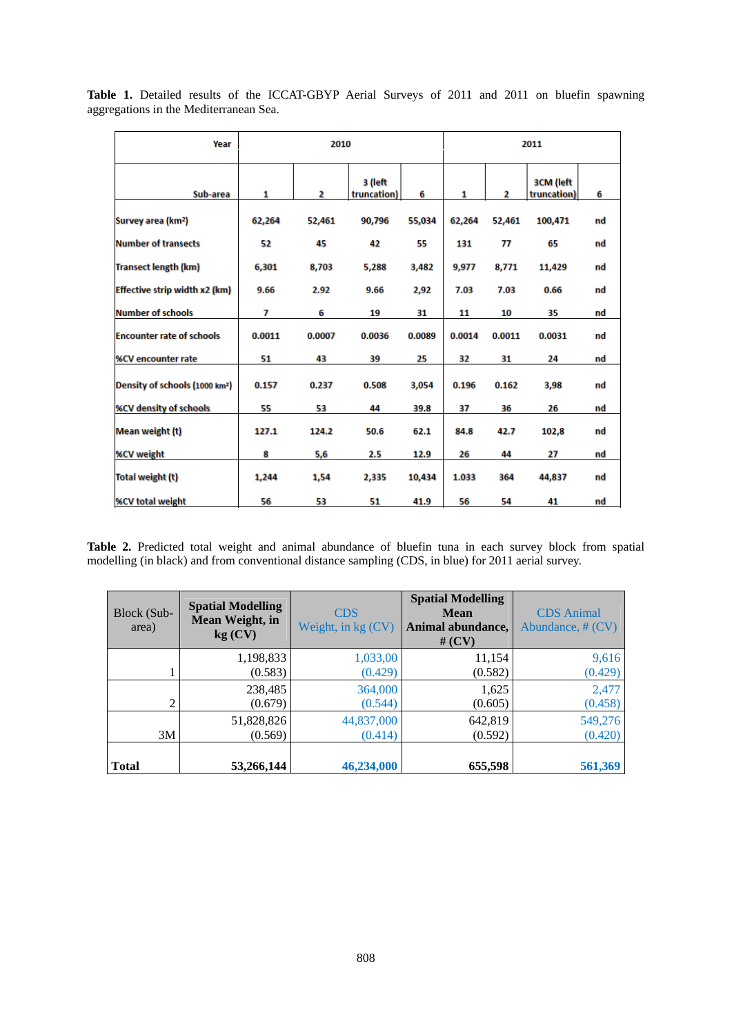| Year                                       | 2010   |        |                        | 2011   |        |        |                          |    |
|--------------------------------------------|--------|--------|------------------------|--------|--------|--------|--------------------------|----|
| Sub-area                                   | 1      | 2      | 3 (left<br>truncation) | 6      | 1      | 2      | 3CM (left<br>truncation) | 6  |
| Survey area (km <sup>2</sup> )             | 62,264 | 52,461 | 90,796                 | 55,034 | 62,264 | 52,461 | 100,471                  | nd |
| <b>Number of transects</b>                 | 52     | 45     | 42                     | 55     | 131    | 77     | 65                       | nd |
| <b>Transect length (km)</b>                | 6,301  | 8,703  | 5,288                  | 3,482  | 9,977  | 8,771  | 11,429                   | nd |
| Effective strip width x2 (km)              | 9.66   | 2.92   | 9.66                   | 2,92   | 7.03   | 7.03   | 0.66                     | nd |
| <b>Number of schools</b>                   | 7      | 6      | 19                     | 31     | 11     | 10     | 35                       | nd |
| <b>Encounter rate of schools</b>           | 0.0011 | 0.0007 | 0.0036                 | 0.0089 | 0.0014 | 0.0011 | 0.0031                   | nd |
| <b>%CV encounter rate</b>                  | 51     | 43     | 39                     | 25     | 32     | 31     | 24                       | nd |
| Density of schools (1000 km <sup>2</sup> ) | 0.157  | 0.237  | 0.508                  | 3,054  | 0.196  | 0.162  | 3,98                     | nd |
| <b>%CV density of schools</b>              | 55     | 53     | 44                     | 39.8   | 37     | 36     | 26                       | nd |
| Mean weight (t)                            | 127.1  | 124.2  | 50.6                   | 62.1   | 84.8   | 42.7   | 102,8                    | nd |
| <b>%CV weight</b>                          | 8      | 5,6    | 2.5                    | 12.9   | 26     | 44     | 27                       | nd |
| Total weight (t)                           | 1,244  | 1,54   | 2,335                  | 10,434 | 1.033  | 364    | 44,837                   | nd |
| <b>%CV total weight</b>                    | 56     | 53     | 51                     | 41.9   | 56     | 54     | 41                       | nd |

Table 1. Detailed results of the ICCAT-GBYP Aerial Surveys of 2011 and 2011 on bluefin spawning aggregations in the Mediterranean Sea.

Table 2. Predicted total weight and animal abundance of bluefin tuna in each survey block from spatial modelling (in black) and from conventional distance sampling (CDS, in blue) for 2011 aerial survey.

| Block (Sub-<br>area) | <b>Spatial Modelling</b><br>Mean Weight, in<br>kg (CV) | <b>CDS</b><br>Weight, in $kg$ (CV). | <b>Spatial Modelling</b><br><b>Mean</b><br>Animal abundance,<br># $(CV)$ | <b>CDS</b> Animal<br>Abundance, $# (CV)$ |
|----------------------|--------------------------------------------------------|-------------------------------------|--------------------------------------------------------------------------|------------------------------------------|
|                      | 1,198,833                                              | 1,033,00                            | 11,154                                                                   | 9,616                                    |
|                      | (0.583)                                                | (0.429)                             | (0.582)                                                                  | (0.429)                                  |
| 2                    | 238,485                                                | 364,000                             | 1,625                                                                    | 2,477                                    |
|                      | (0.679)                                                | (0.544)                             | (0.605)                                                                  | (0.458)                                  |
| 3M                   | 51,828,826                                             | 44,837,000                          | 642,819                                                                  | 549,276                                  |
|                      | (0.569)                                                | (0.414)                             | (0.592)                                                                  | (0.420)                                  |
| Total                | 53,266,144                                             | 46,234,000                          | 655,598                                                                  | 561,369                                  |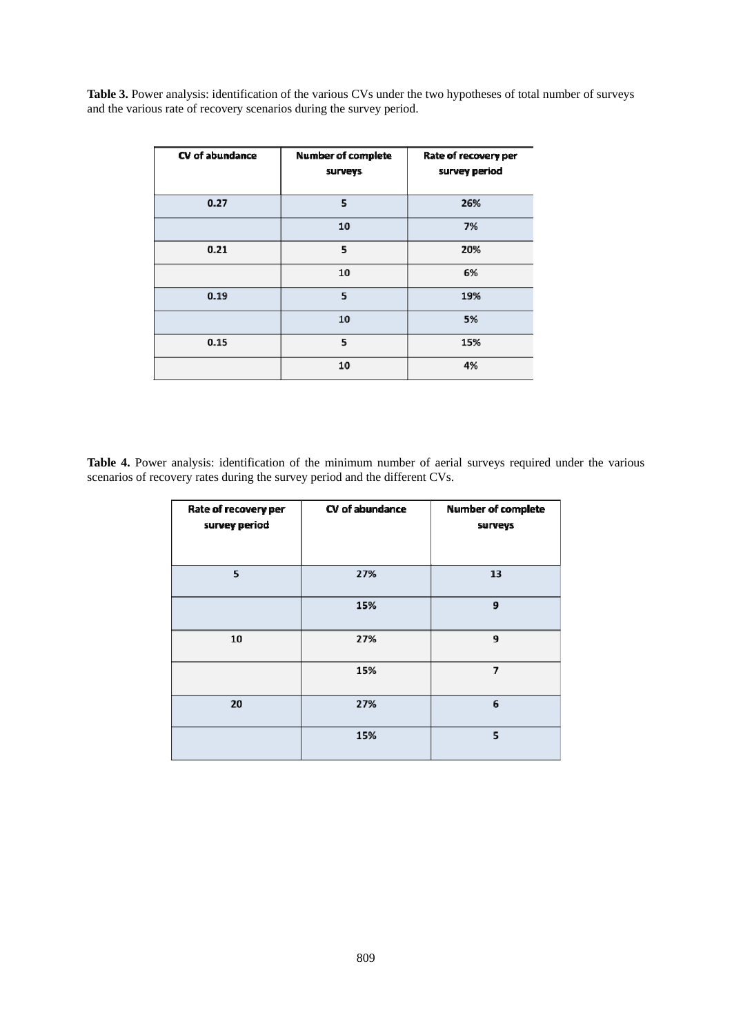Table 3. Power analysis: identification of the various CVs under the two hypotheses of total number of surveys and the various rate of recovery scenarios during the survey period.

| CV of abundance | <b>Number of complete</b><br>surveys | Rate of recovery per<br>survey period |
|-----------------|--------------------------------------|---------------------------------------|
| 0.27            | 5                                    | 26%                                   |
|                 | 10                                   | 7%                                    |
| 0.21            | 5                                    | 20%                                   |
|                 | 10                                   | 6%                                    |
| 0.19            | 5                                    | 19%                                   |
|                 | 10                                   | 5%                                    |
| 0.15            | 5                                    | 15%                                   |
|                 | 10                                   | 4%                                    |

**Table 4.** Power analysis: identification of the minimum number of aerial surveys required under the various scenarios of recovery rates during the survey period and the different CVs.

| Rate of recovery per<br>survey period | CV of abundance | <b>Number of complete</b><br>surveys |
|---------------------------------------|-----------------|--------------------------------------|
| 5                                     | 27%             | 13                                   |
|                                       | 15%             | 9                                    |
| 10                                    | 27%             | 9                                    |
|                                       | 15%             | $\overline{7}$                       |
| 20                                    | 27%             | 6                                    |
|                                       | 15%             | 5                                    |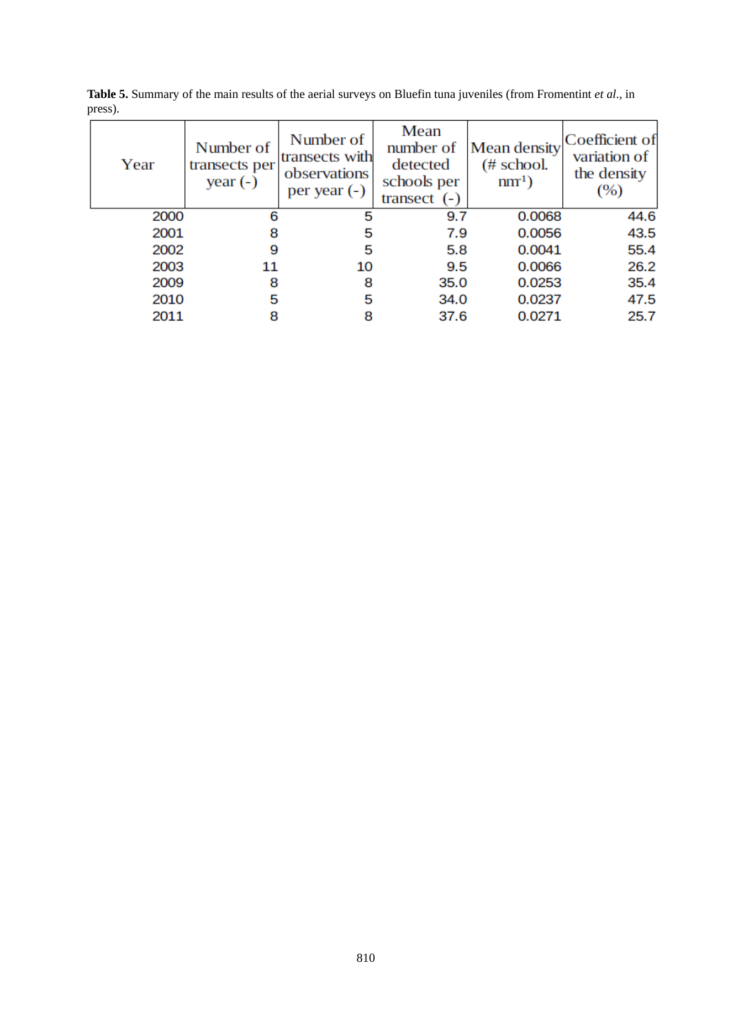| Year | Number of<br>transects per<br>year $(-)$ | Number of<br>transects with<br>observations<br>per year $(-)$ | Mean<br>number of<br>detected<br>schools per<br>transect $(-)$ | <b>Mean density</b><br>$(\#$ school.<br>$nm1$ ) | Coefficient of<br>variation of<br>the density<br>(%) |
|------|------------------------------------------|---------------------------------------------------------------|----------------------------------------------------------------|-------------------------------------------------|------------------------------------------------------|
| 2000 | 6                                        | 5                                                             | 9.7                                                            | 0.0068                                          | 44.6                                                 |
| 2001 | 8                                        | 5                                                             | 7.9                                                            | 0.0056                                          | 43.5                                                 |
| 2002 | 9                                        | 5                                                             | 5.8                                                            | 0.0041                                          | 55.4                                                 |
| 2003 | 11                                       | 10                                                            | 9.5                                                            | 0.0066                                          | 26.2                                                 |
| 2009 | 8                                        | 8                                                             | 35.0                                                           | 0.0253                                          | 35.4                                                 |
| 2010 | 5                                        | 5                                                             | 34.0                                                           | 0.0237                                          | 47.5                                                 |
| 2011 | 8                                        |                                                               | 37.6                                                           | 0.0271                                          | 25.7                                                 |

**Table 5.** Summary of the main results of the aerial surveys on Bluefin tuna juveniles (from Fromentint *et al*., in press).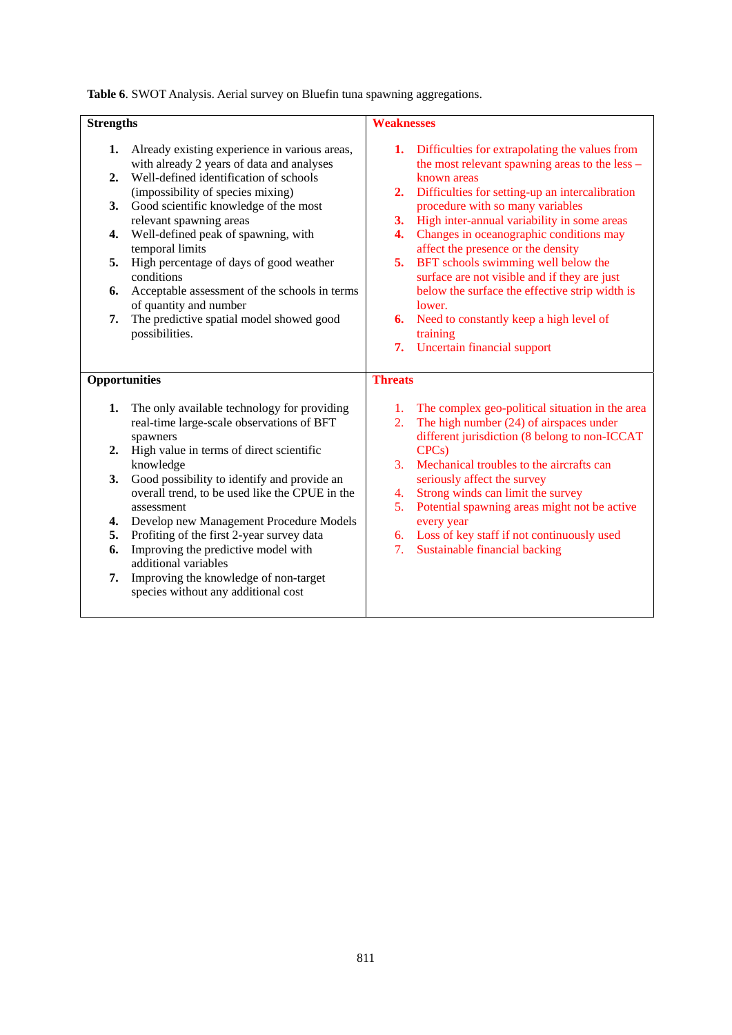**Table 6**. SWOT Analysis. Aerial survey on Bluefin tuna spawning aggregations.

| <b>Strengths</b>     |                                                                                               | <b>Weaknesses</b> |                                                                                                     |  |
|----------------------|-----------------------------------------------------------------------------------------------|-------------------|-----------------------------------------------------------------------------------------------------|--|
| 1.                   | Already existing experience in various areas,<br>with already 2 years of data and analyses    |                   | 1. Difficulties for extrapolating the values from<br>the most relevant spawning areas to the less – |  |
| 2.                   | Well-defined identification of schools<br>(impossibility of species mixing)                   | 2.                | known areas<br>Difficulties for setting-up an intercalibration                                      |  |
| 3.                   | Good scientific knowledge of the most<br>relevant spawning areas                              | 3.                | procedure with so many variables<br>High inter-annual variability in some areas                     |  |
| 4.                   | Well-defined peak of spawning, with<br>temporal limits                                        | 4.                | Changes in oceanographic conditions may<br>affect the presence or the density                       |  |
| 5.                   | High percentage of days of good weather<br>conditions                                         | 5.                | BFT schools swimming well below the<br>surface are not visible and if they are just                 |  |
| 6.                   | Acceptable assessment of the schools in terms<br>of quantity and number                       |                   | below the surface the effective strip width is<br>lower.                                            |  |
| 7.                   | The predictive spatial model showed good<br>possibilities.                                    |                   | <b>6.</b> Need to constantly keep a high level of<br>training                                       |  |
|                      |                                                                                               |                   | 7. Uncertain financial support                                                                      |  |
| <b>Opportunities</b> |                                                                                               | <b>Threats</b>    |                                                                                                     |  |
| 1.                   | The only available technology for providing<br>real-time large-scale observations of BFT      | 2.                | 1. The complex geo-political situation in the area<br>The high number $(24)$ of airspaces under     |  |
| 2.                   | spawners<br>High value in terms of direct scientific                                          |                   | different jurisdiction (8 belong to non-ICCAT<br>CPC <sub>s</sub> )                                 |  |
|                      | knowledge                                                                                     | 3.                | Mechanical troubles to the aircrafts can                                                            |  |
| 3.                   | Good possibility to identify and provide an<br>overall trend, to be used like the CPUE in the | 4.                | seriously affect the survey<br>Strong winds can limit the survey                                    |  |
|                      | assessment                                                                                    | 5.                | Potential spawning areas might not be active                                                        |  |
| 4.                   | Develop new Management Procedure Models                                                       |                   | every year                                                                                          |  |
| 5.<br>6.             | Profiting of the first 2-year survey data<br>Improving the predictive model with              | 7.                | 6. Loss of key staff if not continuously used<br>Sustainable financial backing                      |  |
|                      | additional variables                                                                          |                   |                                                                                                     |  |
| 7.                   | Improving the knowledge of non-target<br>species without any additional cost                  |                   |                                                                                                     |  |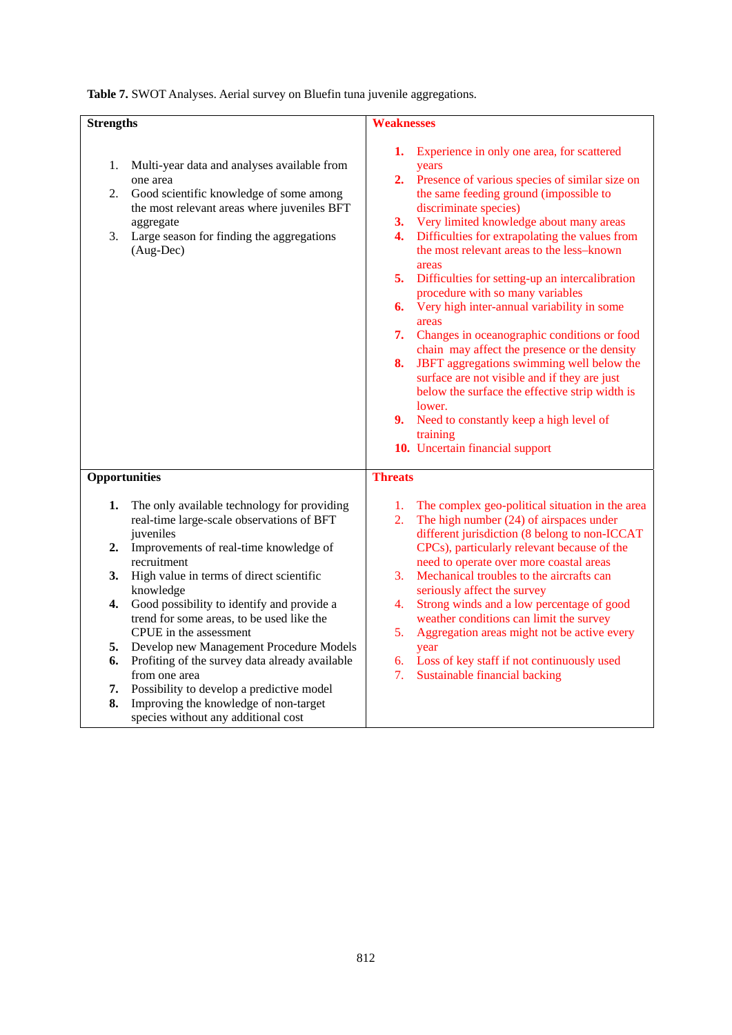|  |  | Table 7. SWOT Analyses. Aerial survey on Bluefin tuna juvenile aggregations. |
|--|--|------------------------------------------------------------------------------|
|  |  |                                                                              |

| <b>Strengths</b>                             |                                                                                                                                                                                                                                                                                                                                                                                                                                                                                                                                                                                         | <b>Weaknesses</b>                                                                                                                                                                                                                                                                                                                                                                                                                                                                                                                                                                                                                                                                                                                                                                                                                                                              |
|----------------------------------------------|-----------------------------------------------------------------------------------------------------------------------------------------------------------------------------------------------------------------------------------------------------------------------------------------------------------------------------------------------------------------------------------------------------------------------------------------------------------------------------------------------------------------------------------------------------------------------------------------|--------------------------------------------------------------------------------------------------------------------------------------------------------------------------------------------------------------------------------------------------------------------------------------------------------------------------------------------------------------------------------------------------------------------------------------------------------------------------------------------------------------------------------------------------------------------------------------------------------------------------------------------------------------------------------------------------------------------------------------------------------------------------------------------------------------------------------------------------------------------------------|
| 1.<br>2.<br>3.                               | Multi-year data and analyses available from<br>one area<br>Good scientific knowledge of some among<br>the most relevant areas where juveniles BFT<br>aggregate<br>Large season for finding the aggregations<br>$(Aug-Dec)$                                                                                                                                                                                                                                                                                                                                                              | 1.<br>Experience in only one area, for scattered<br>years<br>2.<br>Presence of various species of similar size on<br>the same feeding ground (impossible to<br>discriminate species)<br>Very limited knowledge about many areas<br>3.<br>Difficulties for extrapolating the values from<br>4.<br>the most relevant areas to the less-known<br>areas<br>5.<br>Difficulties for setting-up an intercalibration<br>procedure with so many variables<br>Very high inter-annual variability in some<br>6.<br>areas<br>7.<br>Changes in oceanographic conditions or food<br>chain may affect the presence or the density<br>JBFT aggregations swimming well below the<br>8.<br>surface are not visible and if they are just<br>below the surface the effective strip width is<br>lower.<br>9. Need to constantly keep a high level of<br>training<br>10. Uncertain financial support |
| Opportunities                                |                                                                                                                                                                                                                                                                                                                                                                                                                                                                                                                                                                                         | <b>Threats</b>                                                                                                                                                                                                                                                                                                                                                                                                                                                                                                                                                                                                                                                                                                                                                                                                                                                                 |
| 1.<br>2.<br>3.<br>4.<br>5.<br>6.<br>7.<br>8. | The only available technology for providing<br>real-time large-scale observations of BFT<br>juveniles<br>Improvements of real-time knowledge of<br>recruitment<br>High value in terms of direct scientific<br>knowledge<br>Good possibility to identify and provide a<br>trend for some areas, to be used like the<br>CPUE in the assessment<br>Develop new Management Procedure Models<br>Profiting of the survey data already available<br>from one area<br>Possibility to develop a predictive model<br>Improving the knowledge of non-target<br>species without any additional cost | The complex geo-political situation in the area<br>1.<br>The high number $(24)$ of airspaces under<br>2.<br>different jurisdiction (8 belong to non-ICCAT<br>CPCs), particularly relevant because of the<br>need to operate over more coastal areas<br>Mechanical troubles to the aircrafts can<br>3.<br>seriously affect the survey<br>Strong winds and a low percentage of good<br>4.<br>weather conditions can limit the survey<br>Aggregation areas might not be active every<br>5.<br>year<br>6.<br>Loss of key staff if not continuously used<br>Sustainable financial backing<br>7.                                                                                                                                                                                                                                                                                     |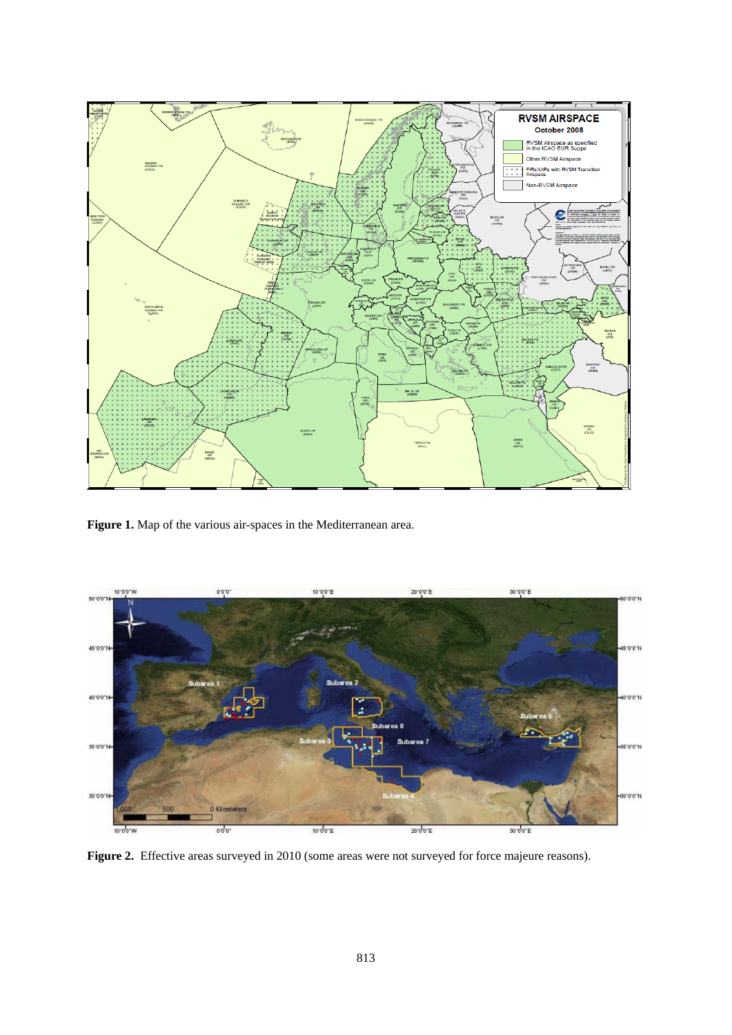

**Figure 1.** Map of the various air-spaces in the Mediterranean area.



**Figure 2.** Effective areas surveyed in 2010 (some areas were not surveyed for force majeure reasons).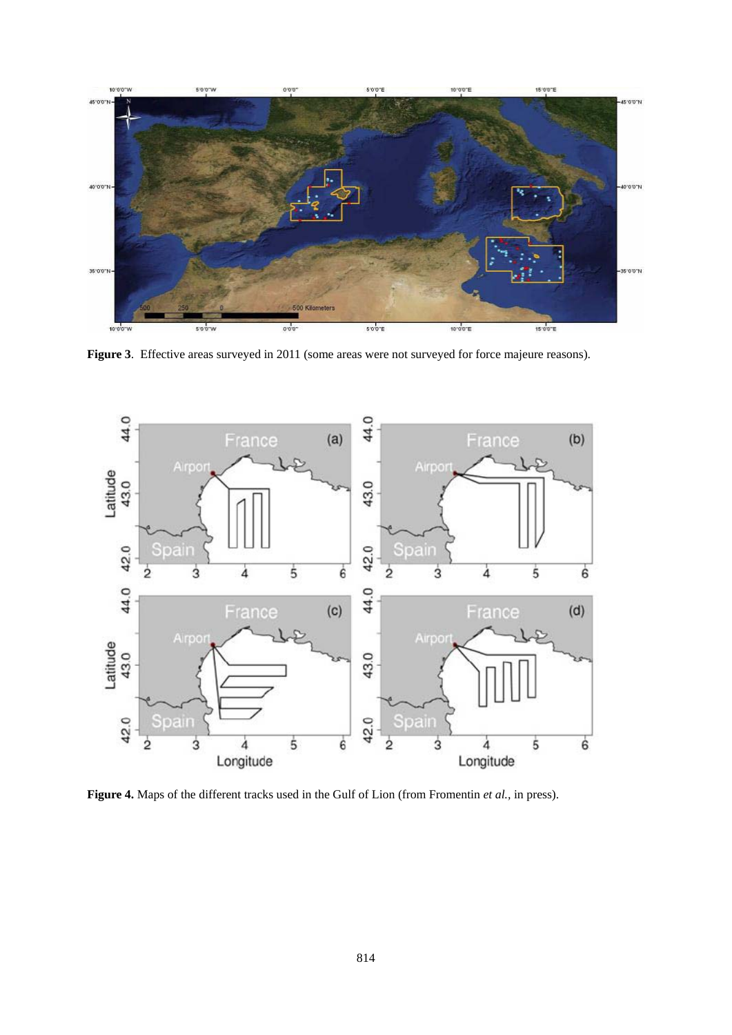

**Figure 3**. Effective areas surveyed in 2011 (some areas were not surveyed for force majeure reasons).



**Figure 4.** Maps of the different tracks used in the Gulf of Lion (from Fromentin *et al.,* in press).